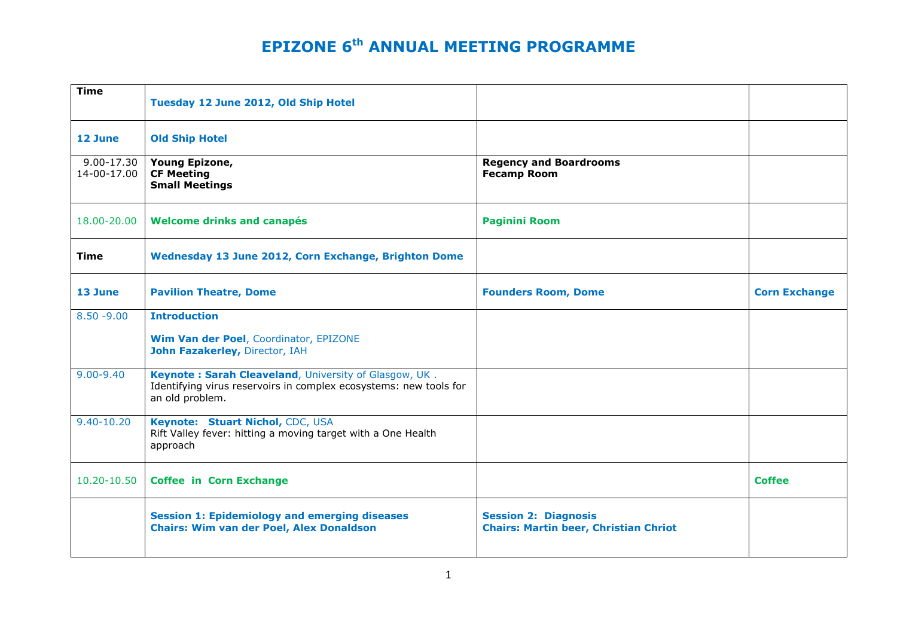| <b>Time</b>                   | Tuesday 12 June 2012, Old Ship Hotel                                                                                                          |                                                                             |                      |
|-------------------------------|-----------------------------------------------------------------------------------------------------------------------------------------------|-----------------------------------------------------------------------------|----------------------|
| 12 June                       | <b>Old Ship Hotel</b>                                                                                                                         |                                                                             |                      |
| $9.00 - 17.30$<br>14-00-17.00 | Young Epizone,<br><b>CF Meeting</b><br><b>Small Meetings</b>                                                                                  | <b>Regency and Boardrooms</b><br><b>Fecamp Room</b>                         |                      |
| 18.00-20.00                   | Welcome drinks and canapés                                                                                                                    | <b>Paginini Room</b>                                                        |                      |
| <b>Time</b>                   | Wednesday 13 June 2012, Corn Exchange, Brighton Dome                                                                                          |                                                                             |                      |
| 13 June                       | <b>Pavilion Theatre, Dome</b>                                                                                                                 | <b>Founders Room, Dome</b>                                                  | <b>Corn Exchange</b> |
| $8.50 - 9.00$                 | <b>Introduction</b>                                                                                                                           |                                                                             |                      |
|                               | Wim Van der Poel, Coordinator, EPIZONE<br>John Fazakerley, Director, IAH                                                                      |                                                                             |                      |
| $9.00 - 9.40$                 | Keynote: Sarah Cleaveland, University of Glasgow, UK.<br>Identifying virus reservoirs in complex ecosystems: new tools for<br>an old problem. |                                                                             |                      |
| $9.40 - 10.20$                | Keynote: Stuart Nichol, CDC, USA<br>Rift Valley fever: hitting a moving target with a One Health<br>approach                                  |                                                                             |                      |
| $10.20 - 10.50$               | <b>Coffee in Corn Exchange</b>                                                                                                                |                                                                             | <b>Coffee</b>        |
|                               | <b>Session 1: Epidemiology and emerging diseases</b><br><b>Chairs: Wim van der Poel, Alex Donaldson</b>                                       | <b>Session 2: Diagnosis</b><br><b>Chairs: Martin beer, Christian Chriot</b> |                      |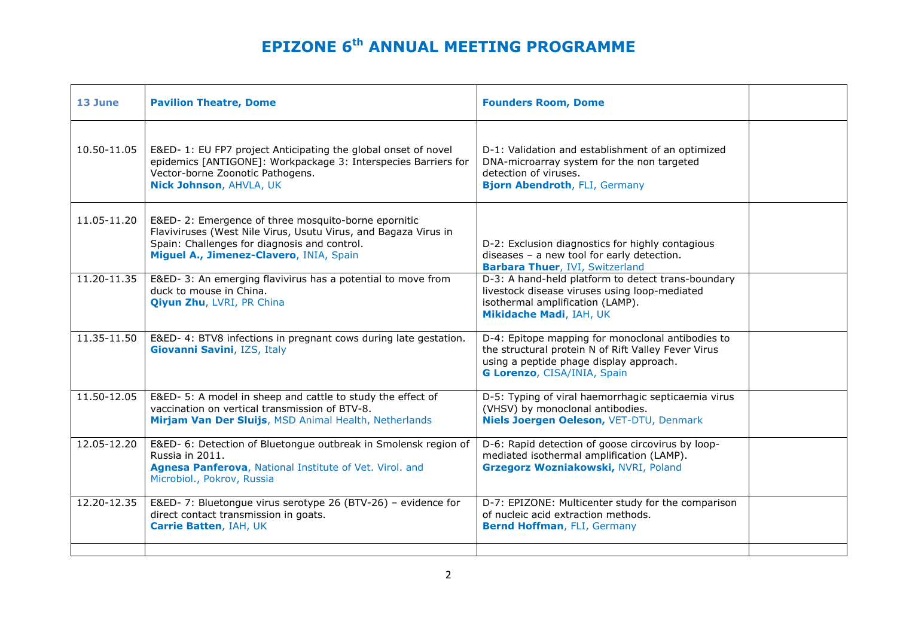| 13 June     | <b>Pavilion Theatre, Dome</b>                                                                                                                                                                                     | <b>Founders Room, Dome</b>                                                                                                                                                         |  |
|-------------|-------------------------------------------------------------------------------------------------------------------------------------------------------------------------------------------------------------------|------------------------------------------------------------------------------------------------------------------------------------------------------------------------------------|--|
| 10.50-11.05 | E&ED- 1: EU FP7 project Anticipating the global onset of novel<br>epidemics [ANTIGONE]: Workpackage 3: Interspecies Barriers for<br>Vector-borne Zoonotic Pathogens.<br>Nick Johnson, AHVLA, UK                   | D-1: Validation and establishment of an optimized<br>DNA-microarray system for the non targeted<br>detection of viruses.<br>Bjorn Abendroth, FLI, Germany                          |  |
| 11.05-11.20 | E&ED-2: Emergence of three mosquito-borne epornitic<br>Flaviviruses (West Nile Virus, Usutu Virus, and Bagaza Virus in<br>Spain: Challenges for diagnosis and control.<br>Miguel A., Jimenez-Clavero, INIA, Spain | D-2: Exclusion diagnostics for highly contagious<br>diseases - a new tool for early detection.<br><b>Barbara Thuer, IVI, Switzerland</b>                                           |  |
| 11.20-11.35 | E&ED-3: An emerging flavivirus has a potential to move from<br>duck to mouse in China.<br><b>Qiyun Zhu, LVRI, PR China</b>                                                                                        | D-3: A hand-held platform to detect trans-boundary<br>livestock disease viruses using loop-mediated<br>isothermal amplification (LAMP).<br>Mikidache Madi, IAH, UK                 |  |
| 11.35-11.50 | E&ED- 4: BTV8 infections in pregnant cows during late gestation.<br>Giovanni Savini, IZS, Italy                                                                                                                   | D-4: Epitope mapping for monoclonal antibodies to<br>the structural protein N of Rift Valley Fever Virus<br>using a peptide phage display approach.<br>G Lorenzo, CISA/INIA, Spain |  |
| 11.50-12.05 | E&ED- 5: A model in sheep and cattle to study the effect of<br>vaccination on vertical transmission of BTV-8.<br>Mirjam Van Der Sluijs, MSD Animal Health, Netherlands                                            | D-5: Typing of viral haemorrhagic septicaemia virus<br>(VHSV) by monoclonal antibodies.<br>Niels Joergen Oeleson, VET-DTU, Denmark                                                 |  |
| 12.05-12.20 | E&ED- 6: Detection of Bluetongue outbreak in Smolensk region of<br>Russia in 2011.<br>Agnesa Panferova, National Institute of Vet. Virol. and<br>Microbiol., Pokrov, Russia                                       | D-6: Rapid detection of goose circovirus by loop-<br>mediated isothermal amplification (LAMP).<br>Grzegorz Wozniakowski, NVRI, Poland                                              |  |
| 12.20-12.35 | E&ED-7: Bluetongue virus serotype 26 (BTV-26) - evidence for<br>direct contact transmission in goats.<br>Carrie Batten, IAH, UK                                                                                   | D-7: EPIZONE: Multicenter study for the comparison<br>of nucleic acid extraction methods.<br>Bernd Hoffman, FLI, Germany                                                           |  |
|             |                                                                                                                                                                                                                   |                                                                                                                                                                                    |  |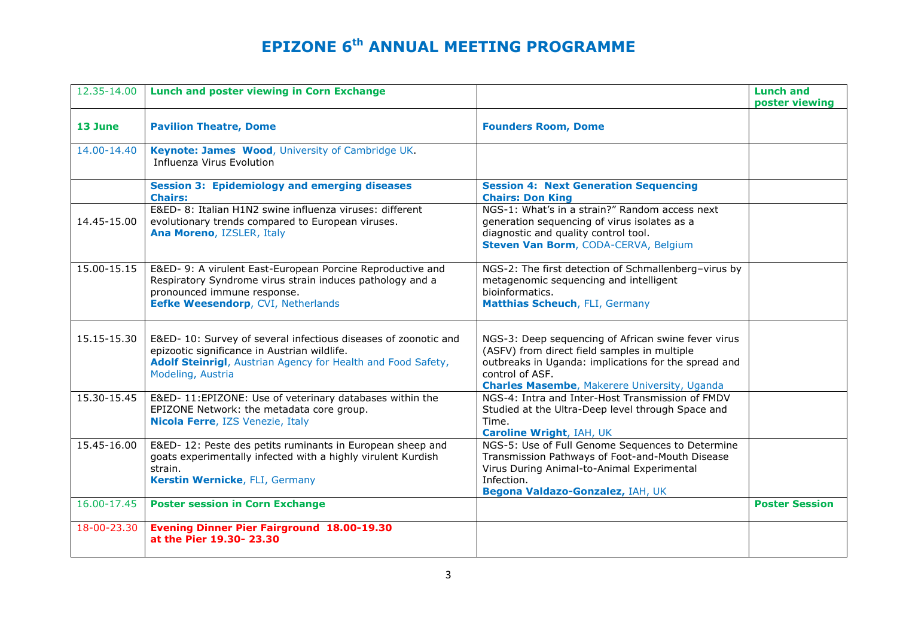| 12.35-14.00 | <b>Lunch and poster viewing in Corn Exchange</b>                                                                                                                                                     |                                                                                                                                                                                                                                       | <b>Lunch and</b><br>poster viewing |
|-------------|------------------------------------------------------------------------------------------------------------------------------------------------------------------------------------------------------|---------------------------------------------------------------------------------------------------------------------------------------------------------------------------------------------------------------------------------------|------------------------------------|
| 13 June     | <b>Pavilion Theatre, Dome</b>                                                                                                                                                                        | <b>Founders Room, Dome</b>                                                                                                                                                                                                            |                                    |
| 14.00-14.40 | Keynote: James Wood, University of Cambridge UK.<br>Influenza Virus Evolution                                                                                                                        |                                                                                                                                                                                                                                       |                                    |
|             | <b>Session 3: Epidemiology and emerging diseases</b><br><b>Chairs:</b>                                                                                                                               | <b>Session 4: Next Generation Sequencing</b><br><b>Chairs: Don King</b>                                                                                                                                                               |                                    |
| 14.45-15.00 | E&ED- 8: Italian H1N2 swine influenza viruses: different<br>evolutionary trends compared to European viruses.<br>Ana Moreno, IZSLER, Italy                                                           | NGS-1: What's in a strain?" Random access next<br>generation sequencing of virus isolates as a<br>diagnostic and quality control tool.<br>Steven Van Borm, CODA-CERVA, Belgium                                                        |                                    |
| 15.00-15.15 | E&ED- 9: A virulent East-European Porcine Reproductive and<br>Respiratory Syndrome virus strain induces pathology and a<br>pronounced immune response.<br>Eefke Weesendorp, CVI, Netherlands         | NGS-2: The first detection of Schmallenberg-virus by<br>metagenomic sequencing and intelligent<br>bioinformatics.<br>Matthias Scheuch, FLI, Germany                                                                                   |                                    |
| 15.15-15.30 | E&ED- 10: Survey of several infectious diseases of zoonotic and<br>epizootic significance in Austrian wildlife.<br>Adolf Steinrigl, Austrian Agency for Health and Food Safety,<br>Modeling, Austria | NGS-3: Deep sequencing of African swine fever virus<br>(ASFV) from direct field samples in multiple<br>outbreaks in Uganda: implications for the spread and<br>control of ASF.<br><b>Charles Masembe, Makerere University, Uganda</b> |                                    |
| 15.30-15.45 | E&ED- 11:EPIZONE: Use of veterinary databases within the<br>EPIZONE Network: the metadata core group.<br>Nicola Ferre, IZS Venezie, Italy                                                            | NGS-4: Intra and Inter-Host Transmission of FMDV<br>Studied at the Ultra-Deep level through Space and<br>Time.<br>Caroline Wright, IAH, UK                                                                                            |                                    |
| 15.45-16.00 | E&ED-12: Peste des petits ruminants in European sheep and<br>goats experimentally infected with a highly virulent Kurdish<br>strain.<br>Kerstin Wernicke, FLI, Germany                               | NGS-5: Use of Full Genome Sequences to Determine<br>Transmission Pathways of Foot-and-Mouth Disease<br>Virus During Animal-to-Animal Experimental<br>Infection.<br>Begona Valdazo-Gonzalez, IAH, UK                                   |                                    |
| 16.00-17.45 | <b>Poster session in Corn Exchange</b>                                                                                                                                                               |                                                                                                                                                                                                                                       | <b>Poster Session</b>              |
| 18-00-23.30 | <b>Evening Dinner Pier Fairground 18.00-19.30</b><br>at the Pier 19.30- 23.30                                                                                                                        |                                                                                                                                                                                                                                       |                                    |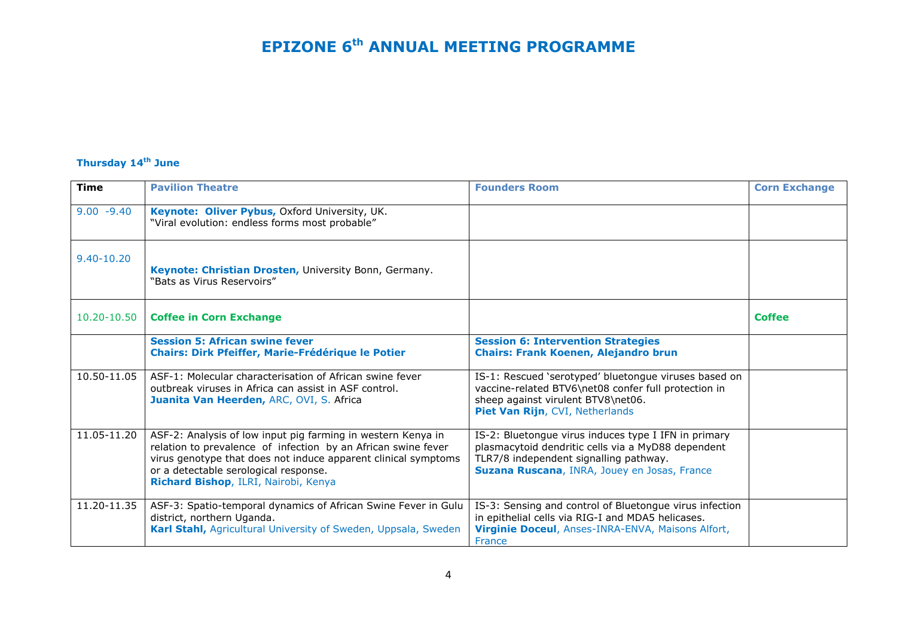#### **Thursday 14th June**

| <b>Time</b>   | <b>Pavilion Theatre</b>                                                                                                                                                                                                                                                          | <b>Founders Room</b>                                                                                                                                                                                 | <b>Corn Exchange</b> |
|---------------|----------------------------------------------------------------------------------------------------------------------------------------------------------------------------------------------------------------------------------------------------------------------------------|------------------------------------------------------------------------------------------------------------------------------------------------------------------------------------------------------|----------------------|
| $9.00 - 9.40$ | Keynote: Oliver Pybus, Oxford University, UK.<br>"Viral evolution: endless forms most probable"                                                                                                                                                                                  |                                                                                                                                                                                                      |                      |
| 9.40-10.20    | Keynote: Christian Drosten, University Bonn, Germany.<br>"Bats as Virus Reservoirs"                                                                                                                                                                                              |                                                                                                                                                                                                      |                      |
| 10.20-10.50   | <b>Coffee in Corn Exchange</b>                                                                                                                                                                                                                                                   |                                                                                                                                                                                                      | <b>Coffee</b>        |
|               | <b>Session 5: African swine fever</b><br><b>Chairs: Dirk Pfeiffer, Marie-Frédérique le Potier</b>                                                                                                                                                                                | <b>Session 6: Intervention Strategies</b><br><b>Chairs: Frank Koenen, Alejandro brun</b>                                                                                                             |                      |
| 10.50-11.05   | ASF-1: Molecular characterisation of African swine fever<br>outbreak viruses in Africa can assist in ASF control.<br>Juanita Van Heerden, ARC, OVI, S. Africa                                                                                                                    | IS-1: Rescued 'serotyped' bluetongue viruses based on<br>vaccine-related BTV6\net08 confer full protection in<br>sheep against virulent BTV8\net06.<br>Piet Van Rijn, CVI, Netherlands               |                      |
| 11.05-11.20   | ASF-2: Analysis of low input pig farming in western Kenya in<br>relation to prevalence of infection by an African swine fever<br>virus genotype that does not induce apparent clinical symptoms<br>or a detectable serological response.<br>Richard Bishop, ILRI, Nairobi, Kenya | IS-2: Bluetongue virus induces type I IFN in primary<br>plasmacytoid dendritic cells via a MyD88 dependent<br>TLR7/8 independent signalling pathway.<br>Suzana Ruscana, INRA, Jouey en Josas, France |                      |
| 11.20-11.35   | ASF-3: Spatio-temporal dynamics of African Swine Fever in Gulu<br>district, northern Uganda.<br>Karl Stahl, Agricultural University of Sweden, Uppsala, Sweden                                                                                                                   | IS-3: Sensing and control of Bluetongue virus infection<br>in epithelial cells via RIG-I and MDA5 helicases.<br>Virginie Doceul, Anses-INRA-ENVA, Maisons Alfort,<br>France                          |                      |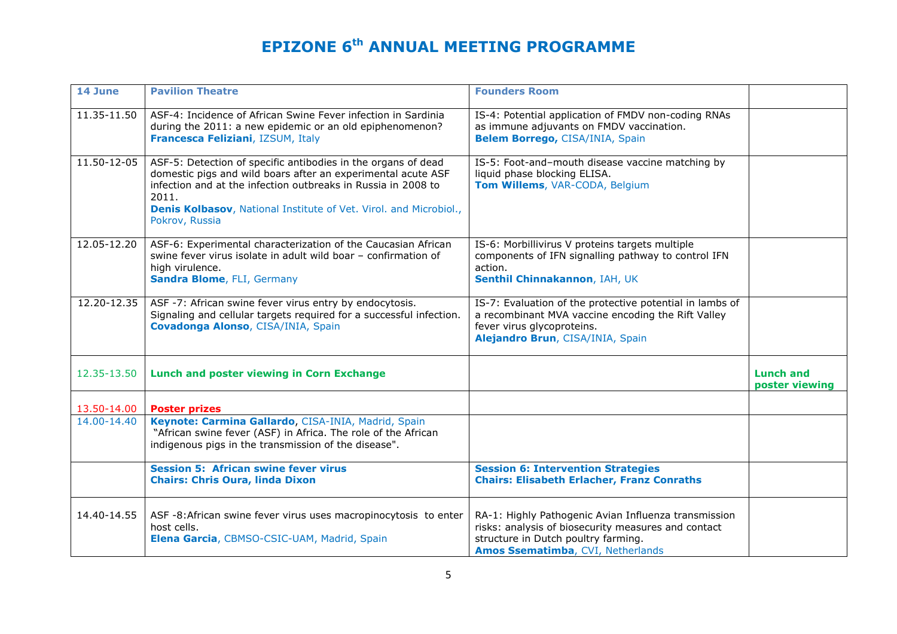| 14 June     | <b>Pavilion Theatre</b>                                                                                                                                                                                                                                                                        | <b>Founders Room</b>                                                                                                                                                                    |                                    |
|-------------|------------------------------------------------------------------------------------------------------------------------------------------------------------------------------------------------------------------------------------------------------------------------------------------------|-----------------------------------------------------------------------------------------------------------------------------------------------------------------------------------------|------------------------------------|
| 11.35-11.50 | ASF-4: Incidence of African Swine Fever infection in Sardinia<br>during the 2011: a new epidemic or an old epiphenomenon?<br>Francesca Feliziani, IZSUM, Italy                                                                                                                                 | IS-4: Potential application of FMDV non-coding RNAs<br>as immune adjuvants on FMDV vaccination.<br>Belem Borrego, CISA/INIA, Spain                                                      |                                    |
| 11.50-12-05 | ASF-5: Detection of specific antibodies in the organs of dead<br>domestic pigs and wild boars after an experimental acute ASF<br>infection and at the infection outbreaks in Russia in 2008 to<br>2011.<br>Denis Kolbasov, National Institute of Vet. Virol. and Microbiol.,<br>Pokrov, Russia | IS-5: Foot-and-mouth disease vaccine matching by<br>liquid phase blocking ELISA.<br>Tom Willems, VAR-CODA, Belgium                                                                      |                                    |
| 12.05-12.20 | ASF-6: Experimental characterization of the Caucasian African<br>swine fever virus isolate in adult wild boar - confirmation of<br>high virulence.<br>Sandra Blome, FLI, Germany                                                                                                               | IS-6: Morbillivirus V proteins targets multiple<br>components of IFN signalling pathway to control IFN<br>action.<br>Senthil Chinnakannon, IAH, UK                                      |                                    |
| 12.20-12.35 | ASF -7: African swine fever virus entry by endocytosis.<br>Signaling and cellular targets required for a successful infection.<br>Covadonga Alonso, CISA/INIA, Spain                                                                                                                           | IS-7: Evaluation of the protective potential in lambs of<br>a recombinant MVA vaccine encoding the Rift Valley<br>fever virus glycoproteins.<br>Alejandro Brun, CISA/INIA, Spain        |                                    |
| 12.35-13.50 | <b>Lunch and poster viewing in Corn Exchange</b>                                                                                                                                                                                                                                               |                                                                                                                                                                                         | <b>Lunch and</b><br>poster viewing |
| 13.50-14.00 | <b>Poster prizes</b>                                                                                                                                                                                                                                                                           |                                                                                                                                                                                         |                                    |
| 14.00-14.40 | Keynote: Carmina Gallardo, CISA-INIA, Madrid, Spain<br>"African swine fever (ASF) in Africa. The role of the African<br>indigenous pigs in the transmission of the disease".                                                                                                                   |                                                                                                                                                                                         |                                    |
|             | <b>Session 5: African swine fever virus</b><br><b>Chairs: Chris Oura, linda Dixon</b>                                                                                                                                                                                                          | <b>Session 6: Intervention Strategies</b><br><b>Chairs: Elisabeth Erlacher, Franz Conraths</b>                                                                                          |                                    |
| 14.40-14.55 | ASF -8: African swine fever virus uses macropinocytosis to enter<br>host cells.<br>Elena Garcia, CBMSO-CSIC-UAM, Madrid, Spain                                                                                                                                                                 | RA-1: Highly Pathogenic Avian Influenza transmission<br>risks: analysis of biosecurity measures and contact<br>structure in Dutch poultry farming.<br>Amos Ssematimba, CVI, Netherlands |                                    |